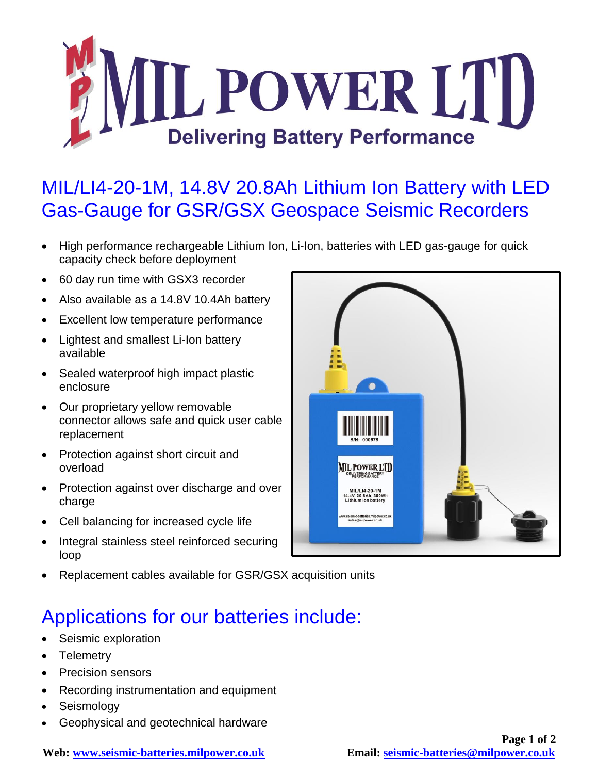

## MIL/LI4-20-1M, 14.8V 20.8Ah Lithium Ion Battery with LED Gas-Gauge for GSR/GSX Geospace Seismic Recorders

- High performance rechargeable Lithium Ion, Li-Ion, batteries with LED gas-gauge for quick capacity check before deployment
- 60 day run time with GSX3 recorder
- Also available as a 14.8V 10.4Ah battery
- Excellent low temperature performance
- Lightest and smallest Li-Ion battery available
- Sealed waterproof high impact plastic enclosure
- Our proprietary yellow removable connector allows safe and quick user cable replacement
- Protection against short circuit and overload
- Protection against over discharge and over charge
- Cell balancing for increased cycle life
- Integral stainless steel reinforced securing loop
- Replacement cables available for GSR/GSX acquisition units

## Applications for our batteries include:

- Seismic exploration
- Telemetry
- Precision sensors
- Recording instrumentation and equipment
- Seismology
- Geophysical and geotechnical hardware



**Web: [www.seismic-batteries.milpower.co.uk](http://www.seismic-batteries.milpower.co.uk/) Email: [seismic-batteries@milpower.co.uk](mailto:seismic-batteries@milpower.co.uk)**